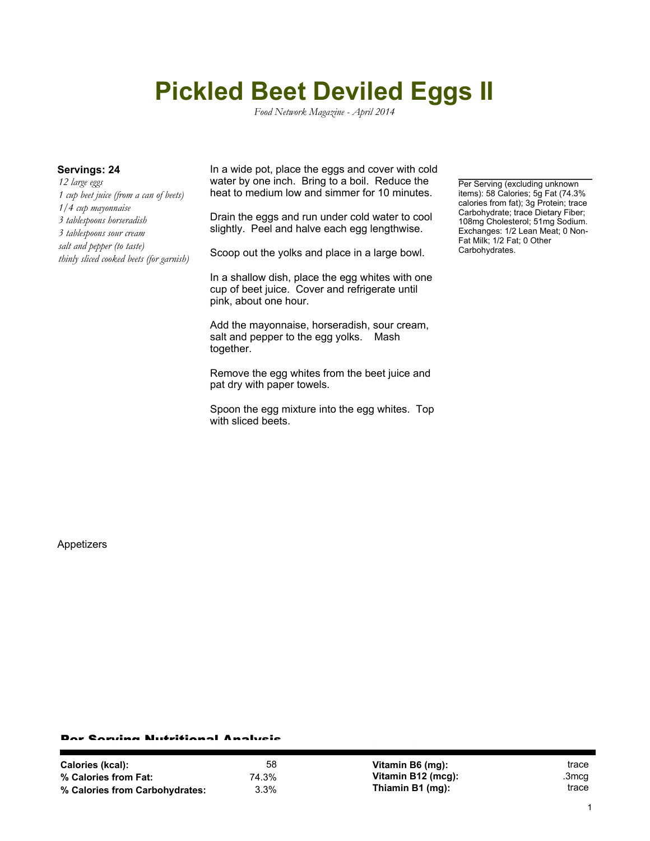## **Pickled Beet Deviled Eggs II**

*Food Network Magazine - April 2014*

*12 large eggs 1 cup beet juice (from a can of beets) 1/4 cup mayonnaise 3 tablespoons horseradish 3 tablespoons sour cream salt and pepper (to taste) thinly sliced cooked beets (for garnish)*

**Servings: 24** In a wide pot, place the eggs and cover with cold water by one inch. Bring to a boil. Reduce the heat to medium low and simmer for 10 minutes.

> Drain the eggs and run under cold water to cool slightly. Peel and halve each egg lengthwise.

Scoop out the yolks and place in a large bowl.

In a shallow dish, place the egg whites with one cup of beet juice. Cover and refrigerate until pink, about one hour.

Add the mayonnaise, horseradish, sour cream, salt and pepper to the egg yolks. Mash together.

Remove the egg whites from the beet juice and pat dry with paper towels.

Spoon the egg mixture into the egg whites. Top with sliced beets.

Per Serving (excluding unknown items): 58 Calories; 5g Fat (74.3% calories from fat); 3g Protein; trace Carbohydrate; trace Dietary Fiber; 108mg Cholesterol; 51mg Sodium. Exchanges: 1/2 Lean Meat; 0 Non-Fat Milk; 1/2 Fat; 0 Other Carbohydrates.

Appetizers

## Per Serving Nutritional Analysis

| <b>Calories (kcal):</b>        | 58    | Vitamin B6 (mg):   | trace |
|--------------------------------|-------|--------------------|-------|
| % Calories from Fat:           | 74.3% | Vitamin B12 (mcg): | .3mcg |
| % Calories from Carbohydrates: | 3.3%  | Thiamin B1 (mg):   | trace |